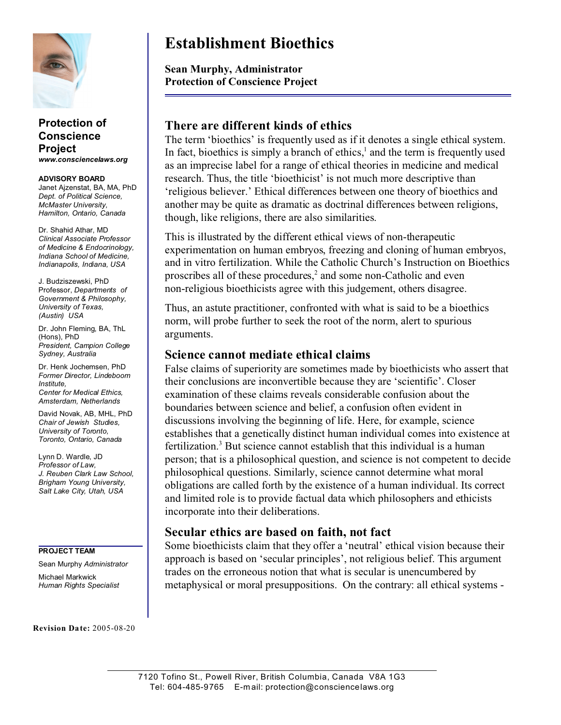

**Protection of Conscience Project** *www.consciencelaws.org*

**ADVISORY BOARD** Janet Ajzenstat, BA, MA, PhD *Dept. of Political Science, McMaster University, Hamilton, Ontario, Canada*

Dr. Shahid Athar, MD *Clinical Associate Professor of Medicine & Endocrinology, Indiana School of Medicine, Indianapolis, Indiana, USA*

J. Budziszewski, PhD Professor, *Departments of Government & Philosophy, University of Texas, (Austin) USA*

Dr. John Fleming, BA, ThL (Hons), PhD *President, Campion College Sydney, Australia*

Dr. Henk Jochemsen, PhD *Former Director, Lindeboom Institute, Center for Medical Ethics, Amsterdam, Netherlands*

David Novak, AB, MHL, PhD *Chair of Jewish Studies, University of Toronto, Toronto, Ontario, Canada*

Lynn D. Wardle, JD *Professor of Law, J. Reuben Clark Law School, Brigham Young University, Salt Lake City, Utah, USA*

**PROJECT TEAM**

Sean Murphy *Administrator* Michael Markwick *Human Rights Specialist*

**Revision Date:** 2005-08-20

# **Establishment Bioethics**

**Sean Murphy, Administrator Protection of Conscience Project**

## **There are different kinds of ethics**

The term 'bioethics' is frequently used as if it denotes a single ethical system. In fact, bioethics is simply a branch of ethics, $<sup>1</sup>$  and the term is frequently used</sup> as an imprecise label for a range of ethical theories in medicine and medical research. Thus, the title 'bioethicist' is not much more descriptive than 'religious believer.' Ethical differences between one theory of bioethics and another may be quite as dramatic as doctrinal differences between religions, though, like religions, there are also similarities.

This is illustrated by the different ethical views of non-therapeutic experimentation on human embryos, freezing and cloning of human embryos, and in vitro fertilization. While the Catholic Church's Instruction on Bioethics proscribes all of these procedures, $2$  and some non-Catholic and even non-religious bioethicists agree with this judgement, others disagree.

Thus, an astute practitioner, confronted with what is said to be a bioethics norm, will probe further to seek the root of the norm, alert to spurious arguments.

#### **Science cannot mediate ethical claims**

False claims of superiority are sometimes made by bioethicists who assert that their conclusions are inconvertible because they are 'scientific'. Closer examination of these claims reveals considerable confusion about the boundaries between science and belief, a confusion often evident in discussions involving the beginning of life. Here, for example, science establishes that a genetically distinct human individual comes into existence at fertilization.<sup>3</sup> But science cannot establish that this individual is a human person; that is a philosophical question, and science is not competent to decide philosophical questions. Similarly, science cannot determine what moral obligations are called forth by the existence of a human individual. Its correct and limited role is to provide factual data which philosophers and ethicists incorporate into their deliberations.

### **Secular ethics are based on faith, not fact**

Some bioethicists claim that they offer a 'neutral' ethical vision because their approach is based on 'secular principles', not religious belief. This argument trades on the erroneous notion that what is secular is unencumbered by metaphysical or moral presuppositions. On the contrary: all ethical systems -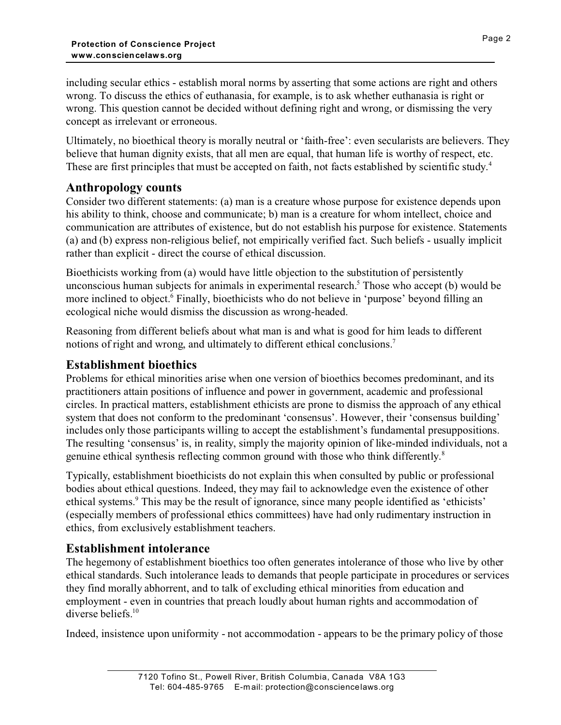including secular ethics - establish moral norms by asserting that some actions are right and others wrong. To discuss the ethics of euthanasia, for example, is to ask whether euthanasia is right or wrong. This question cannot be decided without defining right and wrong, or dismissing the very concept as irrelevant or erroneous.

Ultimately, no bioethical theory is morally neutral or 'faith-free': even secularists are believers. They believe that human dignity exists, that all men are equal, that human life is worthy of respect, etc. These are first principles that must be accepted on faith, not facts established by scientific study.<sup>4</sup>

## **Anthropology counts**

Consider two different statements: (a) man is a creature whose purpose for existence depends upon his ability to think, choose and communicate; b) man is a creature for whom intellect, choice and communication are attributes of existence, but do not establish his purpose for existence. Statements (a) and (b) express non-religious belief, not empirically verified fact. Such beliefs - usually implicit rather than explicit - direct the course of ethical discussion.

Bioethicists working from (a) would have little objection to the substitution of persistently unconscious human subjects for animals in experimental research.<sup>5</sup> Those who accept (b) would be more inclined to object.<sup>6</sup> Finally, bioethicists who do not believe in 'purpose' beyond filling an ecological niche would dismiss the discussion as wrong-headed.

Reasoning from different beliefs about what man is and what is good for him leads to different notions of right and wrong, and ultimately to different ethical conclusions.<sup>7</sup>

## **Establishment bioethics**

Problems for ethical minorities arise when one version of bioethics becomes predominant, and its practitioners attain positions of influence and power in government, academic and professional circles. In practical matters, establishment ethicists are prone to dismiss the approach of any ethical system that does not conform to the predominant 'consensus'. However, their 'consensus building' includes only those participants willing to accept the establishment's fundamental presuppositions. The resulting 'consensus' is, in reality, simply the majority opinion of like-minded individuals, not a genuine ethical synthesis reflecting common ground with those who think differently.<sup>8</sup>

Typically, establishment bioethicists do not explain this when consulted by public or professional bodies about ethical questions. Indeed, they may fail to acknowledge even the existence of other ethical systems.<sup>9</sup> This may be the result of ignorance, since many people identified as 'ethicists' (especially members of professional ethics committees) have had only rudimentary instruction in ethics, from exclusively establishment teachers.

## **Establishment intolerance**

The hegemony of establishment bioethics too often generates intolerance of those who live by other ethical standards. Such intolerance leads to demands that people participate in procedures or services they find morally abhorrent, and to talk of excluding ethical minorities from education and employment - even in countries that preach loudly about human rights and accommodation of diverse beliefs.<sup>10</sup>

Indeed, insistence upon uniformity - not accommodation - appears to be the primary policy of those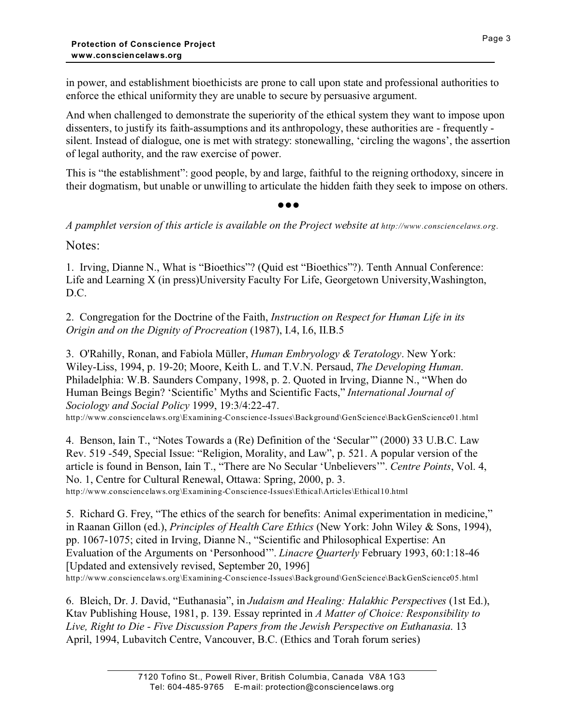in power, and establishment bioethicists are prone to call upon state and professional authorities to enforce the ethical uniformity they are unable to secure by persuasive argument.

And when challenged to demonstrate the superiority of the ethical system they want to impose upon dissenters, to justify its faith-assumptions and its anthropology, these authorities are - frequently silent. Instead of dialogue, one is met with strategy: stonewalling, 'circling the wagons', the assertion of legal authority, and the raw exercise of power.

This is "the establishment": good people, by and large, faithful to the reigning orthodoxy, sincere in their dogmatism, but unable or unwilling to articulate the hidden faith they seek to impose on others.

 $\bullet \bullet \bullet$ 

*A pamphlet version of this article is available on the Project website at*  $h$ *ttp://www.consciencelaws.org.* 

Notes:

1. Irving, Dianne N., What is "Bioethics"? (Quid est "Bioethics"?). Tenth Annual Conference: Life and Learning X (in press)University Faculty For Life, Georgetown University,Washington, D.C.

2. Congregation for the Doctrine of the Faith, *Instruction on Respect for Human Life in its Origin and on the Dignity of Procreation* (1987), I.4, I.6, II.B.5

3. O'Rahilly, Ronan, and Fabiola Müller, *Human Embryology & Teratology*. New York: Wiley-Liss, 1994, p. 19-20; Moore, Keith L. and T.V.N. Persaud, *The Developing Human*. Philadelphia: W.B. Saunders Company, 1998, p. 2. Quoted in Irving, Dianne N., "When do Human Beings Begin? 'Scientific' Myths and Scientific Facts," *International Journal of Sociology and Social Policy* 1999, 19:3/4:22-47. http://www.consciencelaws.org\Examining-Conscience-Issues\Background\GenScience\BackGenScience01.html

4. Benson, Iain T., "Notes Towards a (Re) Definition of the 'Secular'" (2000) 33 U.B.C. Law Rev. 519 -549, Special Issue: "Religion, Morality, and Law", p. 521. A popular version of the article is found in Benson, Iain T., "There are No Secular 'Unbelievers'". *Centre Points*, Vol. 4, No. 1, Centre for Cultural Renewal, Ottawa: Spring, 2000, p. 3. http://www.consciencelaws.org\Examining-Conscience-Issues\Ethical\Articles\Ethical10.html

5. Richard G. Frey, "The ethics of the search for benefits: Animal experimentation in medicine," in Raanan Gillon (ed.), *Principles of Health Care Ethics* (New York: John Wiley & Sons, 1994), pp. 1067-1075; cited in Irving, Dianne N., "Scientific and Philosophical Expertise: An Evaluation of the Arguments on 'Personhood'". *Linacre Quarterly* February 1993, 60:1:18-46 [Updated and extensively revised, September 20, 1996] http://www.consciencelaws.org\Examining-Conscience-Issues\Background\GenScience\BackGenScience05.html

6. Bleich, Dr. J. David, "Euthanasia", in *Judaism and Healing: Halakhic Perspectives* (1st Ed.), Ktav Publishing House, 1981, p. 139. Essay reprinted in *A Matter of Choice: Responsibility to Live, Right to Die - Five Discussion Papers from the Jewish Perspective on Euthanasia*. 13 April, 1994, Lubavitch Centre, Vancouver, B.C. (Ethics and Torah forum series)